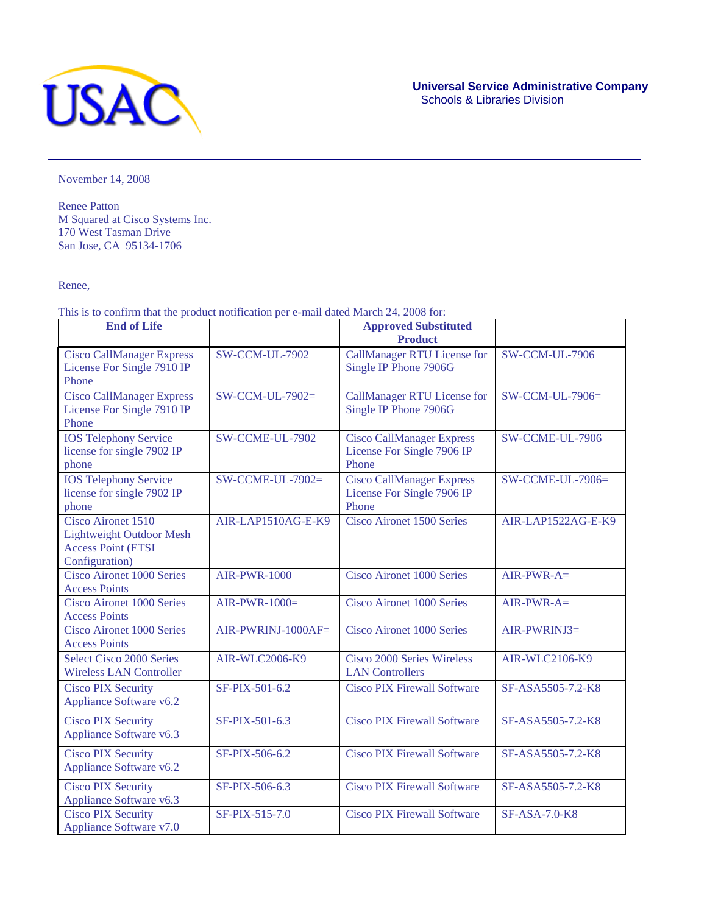

November 14, 2008

Renee Patton M Squared at Cisco Systems Inc. 170 West Tasman Drive San Jose, CA 95134-1706

Renee,

This is to confirm that the product notification per e-mail dated March 24, 2008 for:

| <b>End of Life</b>                                                                                   | <b>Approved Substituted</b> |                                                                         |                         |
|------------------------------------------------------------------------------------------------------|-----------------------------|-------------------------------------------------------------------------|-------------------------|
|                                                                                                      |                             | <b>Product</b>                                                          |                         |
| <b>Cisco CallManager Express</b><br>License For Single 7910 IP<br>Phone                              | <b>SW-CCM-UL-7902</b>       | <b>CallManager RTU License for</b><br>Single IP Phone 7906G             | <b>SW-CCM-UL-7906</b>   |
| <b>Cisco CallManager Express</b><br>License For Single 7910 IP<br>Phone                              | SW-CCM-UL-7902=             | <b>CallManager RTU License for</b><br>Single IP Phone 7906G             | SW-CCM-UL-7906=         |
| <b>IOS Telephony Service</b><br>license for single 7902 IP<br>phone                                  | SW-CCME-UL-7902             | <b>Cisco CallManager Express</b><br>License For Single 7906 IP<br>Phone | <b>SW-CCME-UL-7906</b>  |
| <b>IOS Telephony Service</b><br>license for single 7902 IP<br>phone                                  | $SW-CCME-UL-7902=$          | <b>Cisco CallManager Express</b><br>License For Single 7906 IP<br>Phone | <b>SW-CCME-UL-7906=</b> |
| Cisco Aironet 1510<br><b>Lightweight Outdoor Mesh</b><br><b>Access Point (ETSI</b><br>Configuration) | AIR-LAP1510AG-E-K9          | <b>Cisco Aironet 1500 Series</b>                                        | AIR-LAP1522AG-E-K9      |
| Cisco Aironet 1000 Series<br><b>Access Points</b>                                                    | <b>AIR-PWR-1000</b>         | <b>Cisco Aironet 1000 Series</b>                                        | $AIR-PWR-A=$            |
| <b>Cisco Aironet 1000 Series</b><br><b>Access Points</b>                                             | $AIR-PWR-1000=$             | <b>Cisco Aironet 1000 Series</b>                                        | $AIR-PWR-A=$            |
| <b>Cisco Aironet 1000 Series</b><br><b>Access Points</b>                                             | AIR-PWRINJ-1000AF=          | Cisco Aironet 1000 Series                                               | AIR-PWRINJ3=            |
| <b>Select Cisco 2000 Series</b><br><b>Wireless LAN Controller</b>                                    | <b>AIR-WLC2006-K9</b>       | Cisco 2000 Series Wireless<br><b>LAN</b> Controllers                    | <b>AIR-WLC2106-K9</b>   |
| <b>Cisco PIX Security</b><br>Appliance Software v6.2                                                 | SF-PIX-501-6.2              | <b>Cisco PIX Firewall Software</b>                                      | SF-ASA5505-7.2-K8       |
| <b>Cisco PIX Security</b><br>Appliance Software v6.3                                                 | SF-PIX-501-6.3              | <b>Cisco PIX Firewall Software</b>                                      | SF-ASA5505-7.2-K8       |
| <b>Cisco PIX Security</b><br>Appliance Software v6.2                                                 | SF-PIX-506-6.2              | <b>Cisco PIX Firewall Software</b>                                      | SF-ASA5505-7.2-K8       |
| <b>Cisco PIX Security</b><br>Appliance Software v6.3                                                 | SF-PIX-506-6.3              | <b>Cisco PIX Firewall Software</b>                                      | SF-ASA5505-7.2-K8       |
| <b>Cisco PIX Security</b><br>Appliance Software v7.0                                                 | SF-PIX-515-7.0              | <b>Cisco PIX Firewall Software</b>                                      | <b>SF-ASA-7.0-K8</b>    |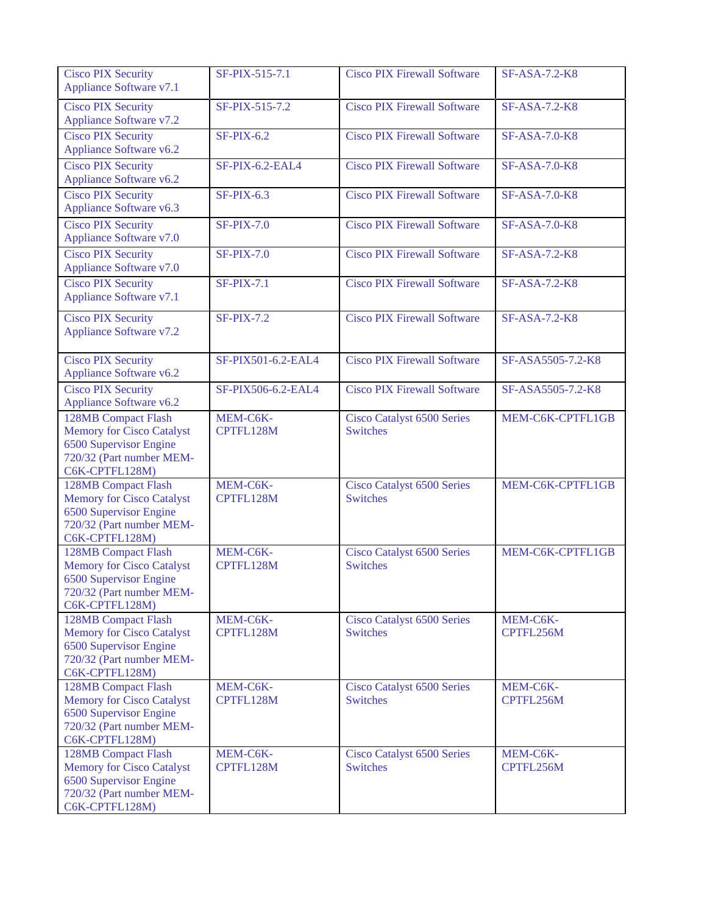| <b>Cisco PIX Security</b>                                                                                                       | SF-PIX-515-7.1        | <b>Cisco PIX Firewall Software</b>                   | <b>SF-ASA-7.2-K8</b>  |
|---------------------------------------------------------------------------------------------------------------------------------|-----------------------|------------------------------------------------------|-----------------------|
| Appliance Software v7.1                                                                                                         |                       |                                                      |                       |
| <b>Cisco PIX Security</b><br><b>Appliance Software v7.2</b>                                                                     | SF-PIX-515-7.2        | <b>Cisco PIX Firewall Software</b>                   | <b>SF-ASA-7.2-K8</b>  |
| <b>Cisco PIX Security</b><br>Appliance Software v6.2                                                                            | $SF-PIX-6.2$          | <b>Cisco PIX Firewall Software</b>                   | <b>SF-ASA-7.0-K8</b>  |
| <b>Cisco PIX Security</b><br>Appliance Software v6.2                                                                            | SF-PIX-6.2-EAL4       | <b>Cisco PIX Firewall Software</b>                   | <b>SF-ASA-7.0-K8</b>  |
| <b>Cisco PIX Security</b><br>Appliance Software v6.3                                                                            | $SF-PIX-6.3$          | <b>Cisco PIX Firewall Software</b>                   | <b>SF-ASA-7.0-K8</b>  |
| <b>Cisco PIX Security</b><br>Appliance Software v7.0                                                                            | <b>SF-PIX-7.0</b>     | <b>Cisco PIX Firewall Software</b>                   | <b>SF-ASA-7.0-K8</b>  |
| <b>Cisco PIX Security</b><br>Appliance Software v7.0                                                                            | <b>SF-PIX-7.0</b>     | <b>Cisco PIX Firewall Software</b>                   | <b>SF-ASA-7.2-K8</b>  |
| <b>Cisco PIX Security</b><br>Appliance Software v7.1                                                                            | $SF-PIX-7.1$          | <b>Cisco PIX Firewall Software</b>                   | <b>SF-ASA-7.2-K8</b>  |
| <b>Cisco PIX Security</b><br><b>Appliance Software v7.2</b>                                                                     | <b>SF-PIX-7.2</b>     | <b>Cisco PIX Firewall Software</b>                   | <b>SF-ASA-7.2-K8</b>  |
| <b>Cisco PIX Security</b><br>Appliance Software v6.2                                                                            | SF-PIX501-6.2-EAL4    | <b>Cisco PIX Firewall Software</b>                   | SF-ASA5505-7.2-K8     |
| <b>Cisco PIX Security</b><br>Appliance Software v6.2                                                                            | SF-PIX506-6.2-EAL4    | <b>Cisco PIX Firewall Software</b>                   | SF-ASA5505-7.2-K8     |
| 128MB Compact Flash<br><b>Memory for Cisco Catalyst</b><br>6500 Supervisor Engine<br>720/32 (Part number MEM-<br>C6K-CPTFL128M) | MEM-C6K-<br>CPTFL128M | <b>Cisco Catalyst 6500 Series</b><br><b>Switches</b> | MEM-C6K-CPTFL1GB      |
| 128MB Compact Flash<br><b>Memory for Cisco Catalyst</b><br>6500 Supervisor Engine<br>720/32 (Part number MEM-<br>C6K-CPTFL128M) | MEM-C6K-<br>CPTFL128M | <b>Cisco Catalyst 6500 Series</b><br><b>Switches</b> | MEM-C6K-CPTFL1GB      |
| 128MB Compact Flash<br><b>Memory for Cisco Catalyst</b><br>6500 Supervisor Engine<br>720/32 (Part number MEM-<br>C6K-CPTFL128M) | MEM-C6K-<br>CPTFL128M | <b>Cisco Catalyst 6500 Series</b><br><b>Switches</b> | MEM-C6K-CPTFL1GB      |
| 128MB Compact Flash<br><b>Memory for Cisco Catalyst</b><br>6500 Supervisor Engine<br>720/32 (Part number MEM-<br>C6K-CPTFL128M) | MEM-C6K-<br>CPTFL128M | Cisco Catalyst 6500 Series<br><b>Switches</b>        | MEM-C6K-<br>CPTFL256M |
| 128MB Compact Flash<br><b>Memory for Cisco Catalyst</b><br>6500 Supervisor Engine<br>720/32 (Part number MEM-<br>C6K-CPTFL128M) | MEM-C6K-<br>CPTFL128M | <b>Cisco Catalyst 6500 Series</b><br><b>Switches</b> | MEM-C6K-<br>CPTFL256M |
| 128MB Compact Flash<br><b>Memory for Cisco Catalyst</b><br>6500 Supervisor Engine<br>720/32 (Part number MEM-<br>C6K-CPTFL128M) | MEM-C6K-<br>CPTFL128M | <b>Cisco Catalyst 6500 Series</b><br><b>Switches</b> | MEM-C6K-<br>CPTFL256M |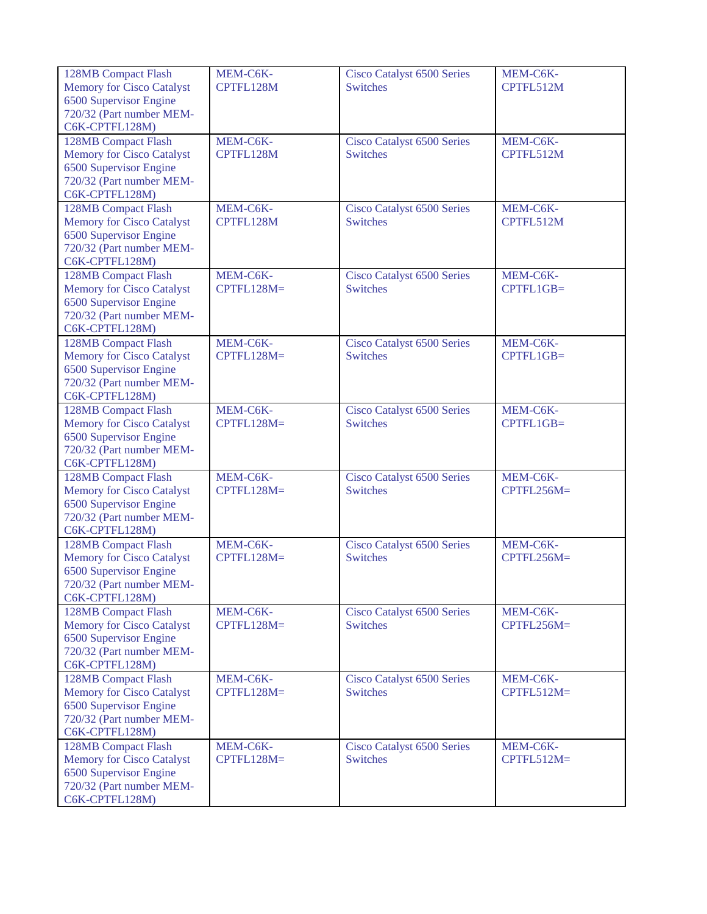| 128MB Compact Flash                   | MEM-C6K-     | Cisco Catalyst 6500 Series                           | MEM-C6K-     |
|---------------------------------------|--------------|------------------------------------------------------|--------------|
| <b>Memory for Cisco Catalyst</b>      | CPTFL128M    | <b>Switches</b>                                      | CPTFL512M    |
| 6500 Supervisor Engine                |              |                                                      |              |
| 720/32 (Part number MEM-              |              |                                                      |              |
| C6K-CPTFL128M)                        |              |                                                      |              |
| 128MB Compact Flash                   | MEM-C6K-     | Cisco Catalyst 6500 Series                           | MEM-C6K-     |
| <b>Memory for Cisco Catalyst</b>      | CPTFL128M    | <b>Switches</b>                                      | CPTFL512M    |
| 6500 Supervisor Engine                |              |                                                      |              |
| 720/32 (Part number MEM-              |              |                                                      |              |
| C6K-CPTFL128M)                        |              |                                                      |              |
| 128MB Compact Flash                   | MEM-C6K-     | <b>Cisco Catalyst 6500 Series</b>                    | MEM-C6K-     |
| <b>Memory for Cisco Catalyst</b>      | CPTFL128M    | <b>Switches</b>                                      | CPTFL512M    |
| 6500 Supervisor Engine                |              |                                                      |              |
| 720/32 (Part number MEM-              |              |                                                      |              |
| C6K-CPTFL128M)                        |              |                                                      |              |
| 128MB Compact Flash                   | MEM-C6K-     | <b>Cisco Catalyst 6500 Series</b>                    | MEM-C6K-     |
| <b>Memory for Cisco Catalyst</b>      | $CPTFL128M=$ | <b>Switches</b>                                      | CPTFL1GB=    |
| 6500 Supervisor Engine                |              |                                                      |              |
| 720/32 (Part number MEM-              |              |                                                      |              |
|                                       |              |                                                      |              |
| C6K-CPTFL128M)<br>128MB Compact Flash | MEM-C6K-     |                                                      | MEM-C6K-     |
|                                       |              | <b>Cisco Catalyst 6500 Series</b><br><b>Switches</b> |              |
| <b>Memory for Cisco Catalyst</b>      | CPTFL128M=   |                                                      | CPTFL1GB=    |
| 6500 Supervisor Engine                |              |                                                      |              |
| 720/32 (Part number MEM-              |              |                                                      |              |
| C6K-CPTFL128M)                        |              |                                                      |              |
| 128MB Compact Flash                   | MEM-C6K-     | Cisco Catalyst 6500 Series                           | MEM-C6K-     |
| <b>Memory for Cisco Catalyst</b>      | CPTFL128M=   | <b>Switches</b>                                      | CPTFL1GB=    |
| 6500 Supervisor Engine                |              |                                                      |              |
| 720/32 (Part number MEM-              |              |                                                      |              |
| C6K-CPTFL128M)                        |              |                                                      |              |
| 128MB Compact Flash                   | MEM-C6K-     | Cisco Catalyst 6500 Series                           | MEM-C6K-     |
| <b>Memory for Cisco Catalyst</b>      | CPTFL128M=   | <b>Switches</b>                                      | $CPTFL256M=$ |
| 6500 Supervisor Engine                |              |                                                      |              |
| 720/32 (Part number MEM-              |              |                                                      |              |
| C6K-CPTFL128M)                        |              |                                                      |              |
| 128MB Compact Flash                   | MEM-C6K-     | Cisco Catalyst 6500 Series                           | MEM-C6K-     |
| <b>Memory for Cisco Catalyst</b>      | CPTFL128M=   | <b>Switches</b>                                      | $CPTFL256M=$ |
| 6500 Supervisor Engine                |              |                                                      |              |
| 720/32 (Part number MEM-              |              |                                                      |              |
| C6K-CPTFL128M)                        |              |                                                      |              |
| 128MB Compact Flash                   | MEM-C6K-     | <b>Cisco Catalyst 6500 Series</b>                    | MEM-C6K-     |
| <b>Memory for Cisco Catalyst</b>      | $CPTFL128M=$ | <b>Switches</b>                                      | $CPTFL256M=$ |
| 6500 Supervisor Engine                |              |                                                      |              |
| 720/32 (Part number MEM-              |              |                                                      |              |
| C6K-CPTFL128M)                        |              |                                                      |              |
| 128MB Compact Flash                   | MEM-C6K-     | Cisco Catalyst 6500 Series                           | MEM-C6K-     |
| <b>Memory for Cisco Catalyst</b>      | $CPTFL128M=$ | <b>Switches</b>                                      | $CPTFL512M=$ |
| 6500 Supervisor Engine                |              |                                                      |              |
| 720/32 (Part number MEM-              |              |                                                      |              |
| C6K-CPTFL128M)                        |              |                                                      |              |
| 128MB Compact Flash                   | MEM-C6K-     | <b>Cisco Catalyst 6500 Series</b>                    | MEM-C6K-     |
| <b>Memory for Cisco Catalyst</b>      | $CPTFL128M=$ | <b>Switches</b>                                      | $CPTFL512M=$ |
| 6500 Supervisor Engine                |              |                                                      |              |
| 720/32 (Part number MEM-              |              |                                                      |              |
| C6K-CPTFL128M)                        |              |                                                      |              |